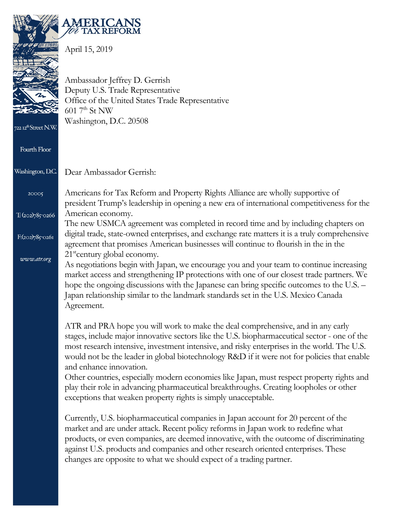

**MERIC TAX REFORM** 

Dear Ambassador Gerrish:

April 15, 2019

Ambassador Jeffrey D. Gerrish Deputy U.S. Trade Representative Office of the United States Trade Representative  $6017<sup>th</sup>$  St NW Washington, D.C. 20508

722 12<sup>th</sup>Street N.W

**Fourth Floor** 

Washington, D.C.

20005

 $T: (202)785$ -0266

 $F:(202)785-0261$ 

www.atr.org

American economy. The new USMCA agreement was completed in record time and by including chapters on digital trade, state-owned enterprises, and exchange rate matters it is a truly comprehensive agreement that promises American businesses will continue to flourish in the in the 21<sup>st</sup>century global economy.

president Trump's leadership in opening a new era of international competitiveness for the

Americans for Tax Reform and Property Rights Alliance are wholly supportive of

As negotiations begin with Japan, we encourage you and your team to continue increasing market access and strengthening IP protections with one of our closest trade partners. We hope the ongoing discussions with the Japanese can bring specific outcomes to the U.S. – Japan relationship similar to the landmark standards set in the U.S. Mexico Canada Agreement.

ATR and PRA hope you will work to make the deal comprehensive, and in any early stages, include major innovative sectors like the U.S. biopharmaceutical sector - one of the most research intensive, investment intensive, and risky enterprises in the world. The U.S. would not be the leader in global biotechnology R&D if it were not for policies that enable and enhance innovation.

Other countries, especially modern economies like Japan, must respect property rights and play their role in advancing pharmaceutical breakthroughs. Creating loopholes or other exceptions that weaken property rights is simply unacceptable.

Currently, U.S. biopharmaceutical companies in Japan account for 20 percent of the market and are under attack. Recent policy reforms in Japan work to redefine what products, or even companies, are deemed innovative, with the outcome of discriminating against U.S. products and companies and other research oriented enterprises. These changes are opposite to what we should expect of a trading partner.